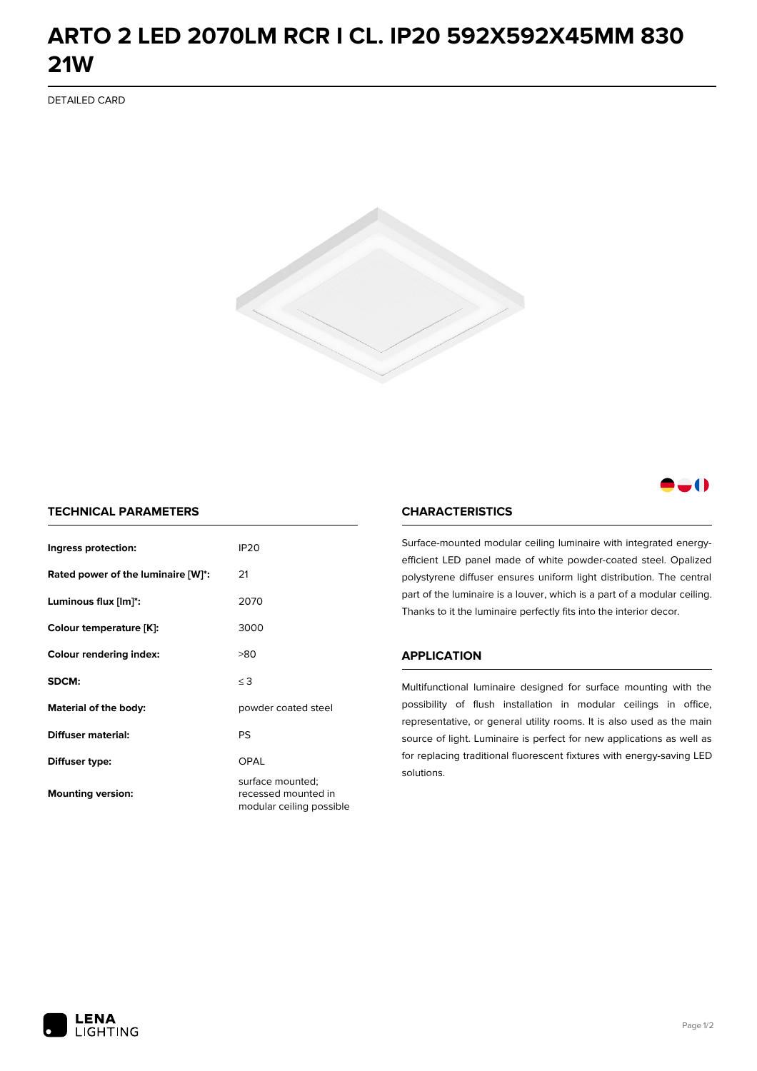## **ARTO 2 LED 2070LM RCR I CL. IP20 592X592X45MM 830 21W**

DETAILED CARD



### -0

#### **TECHNICAL PARAMETERS**

| Ingress protection:                | IP <sub>20</sub>                                                    |
|------------------------------------|---------------------------------------------------------------------|
| Rated power of the luminaire [W]*: | 21                                                                  |
| Luminous flux [lm]*:               | 2070                                                                |
| Colour temperature [K]:            | 3000                                                                |
| <b>Colour rendering index:</b>     | >80                                                                 |
| SDCM:                              | $\leq$ 3                                                            |
| Material of the body:              | powder coated steel                                                 |
| Diffuser material:                 | PS                                                                  |
| Diffuser type:                     | OPAL                                                                |
| <b>Mounting version:</b>           | surface mounted;<br>recessed mounted in<br>modular ceiling possible |

#### **CHARACTERISTICS**

Surface-mounted modular ceiling luminaire with integrated energyefficient LED panel made of white powder-coated steel. Opalized polystyrene diffuser ensures uniform light distribution. The central part of the luminaire is a louver, which is a part of a modular ceiling. Thanks to it the luminaire perfectly fits into the interior decor.

#### **APPLICATION**

Multifunctional luminaire designed for surface mounting with the possibility of flush installation in modular ceilings in office, representative, or general utility rooms. It is also used as the main source of light. Luminaire is perfect for new applications as well as for replacing traditional fluorescent fixtures with energy-saving LED solutions.